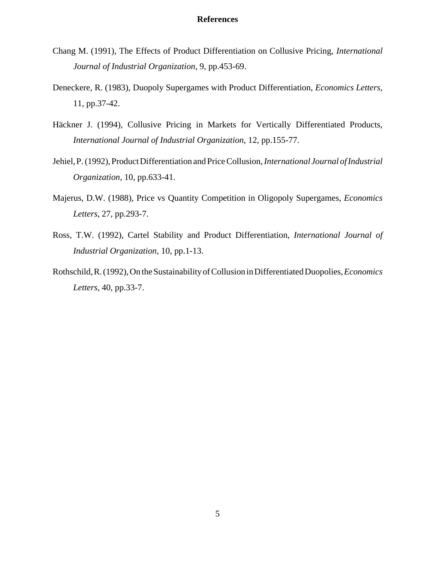- Chang M. (1991), The Effects of Product Differentiation on Collusive Pricing, *International Journal of Industrial Organization*, 9, pp.453-69.
- Deneckere, R. (1983), Duopoly Supergames with Product Differentiation, *Economics Letters*, 11, pp.37-42.
- Häckner J. (1994), Collusive Pricing in Markets for Vertically Differentiated Products, *International Journal of Industrial Organization*, 12, pp.155-77.
- Jehiel,P. (1992),Product Differentiation and Price Collusion,*InternationalJournal ofIndustrial Organization*, 10, pp.633-41.
- Majerus, D.W. (1988), Price vs Quantity Competition in Oligopoly Supergames, *Economics Letters*, 27, pp.293-7.
- Ross, T.W. (1992), Cartel Stability and Product Differentiation, *International Journal of Industrial Organization*, 10, pp.1-13.
- Rothschild,R.(1992),On theSustainabilityof Collusion inDifferentiated Duopolies,*Economics Letters*, 40, pp.33-7.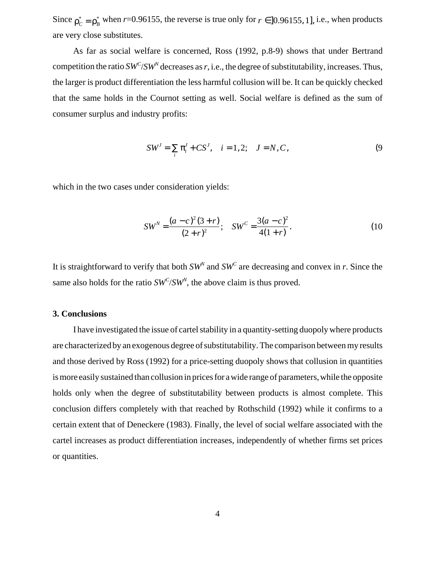Since  $\rho_c^* = \rho_B^*$  when *r*=0.96155, the reverse is true only for  $r \in ]0.96155, 1]$ , i.e., when products are very close substitutes.

As far as social welfare is concerned, Ross (1992, p.8-9) shows that under Bertrand competition the ratio  $SW^C/SW^N$  decreases as  $r$ , i.e., the degree of substitutability, increases. Thus, the larger is product differentiation the less harmful collusion will be. It can be quickly checked that the same holds in the Cournot setting as well. Social welfare is defined as the sum of consumer surplus and industry profits:

$$
SW^J = \sum_{i} \pi_i^J + CS^J, \quad i = 1, 2; \quad J = N, C,
$$
 (9)

which in the two cases under consideration yields:

$$
SW^N = \frac{(a-c)^2(3+r)}{(2+r)^2}; \quad SW^C = \frac{3(a-c)^2}{4(1+r)}.
$$
 (10)

It is straightforward to verify that both  $SW^N$  and  $SW^C$  are decreasing and convex in *r*. Since the same also holds for the ratio  $SW^C/SW^N$ , the above claim is thus proved.

## **3. Conclusions**

I have investigated the issue of cartel stability in a quantity-setting duopoly where products are characterized by an exogenous degree of substitutability. The comparison between my results and those derived by Ross (1992) for a price-setting duopoly shows that collusion in quantities is more easily sustained than collusion in prices for a wide range of parameters, while the opposite holds only when the degree of substitutability between products is almost complete. This conclusion differs completely with that reached by Rothschild (1992) while it confirms to a certain extent that of Deneckere (1983). Finally, the level of social welfare associated with the cartel increases as product differentiation increases, independently of whether firms set prices or quantities.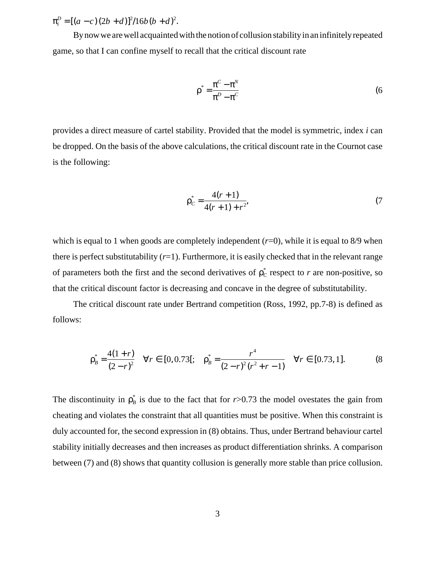$\pi_i^D = [(a-c)(2b+d)]^2/16b(b+d)^2$ .

By now we are well acquainted with the notion of collusion stability in an infinitely repeated game, so that I can confine myself to recall that the critical discount rate

$$
\rho^* = \frac{\pi^C - \pi^N}{\pi^D - \pi^C} \tag{6}
$$

provides a direct measure of cartel stability. Provided that the model is symmetric, index *i* can be dropped. On the basis of the above calculations, the critical discount rate in the Cournot case is the following:

$$
\rho_C^* = \frac{4(r+1)}{4(r+1) + r^2},\tag{7}
$$

which is equal to 1 when goods are completely independent  $(r=0)$ , while it is equal to 8/9 when there is perfect substitutability  $(r=1)$ . Furthermore, it is easily checked that in the relevant range of parameters both the first and the second derivatives of  $\rho_c^*$  respect to *r* are non-positive, so that the critical discount factor is decreasing and concave in the degree of substitutability.

The critical discount rate under Bertrand competition (Ross, 1992, pp.7-8) is defined as follows:

$$
\rho_B^* = \frac{4(1+r)}{(2-r)^2} \quad \forall r \in [0, 0.73]; \quad \rho_B^* = \frac{r^4}{(2-r)^2(r^2+r-1)} \quad \forall r \in [0.73, 1]. \tag{8}
$$

The discontinuity in  $\rho_B^*$  is due to the fact that for *r*>0.73 the model ovestates the gain from cheating and violates the constraint that all quantities must be positive. When this constraint is duly accounted for, the second expression in (8) obtains. Thus, under Bertrand behaviour cartel stability initially decreases and then increases as product differentiation shrinks. A comparison between (7) and (8) shows that quantity collusion is generally more stable than price collusion.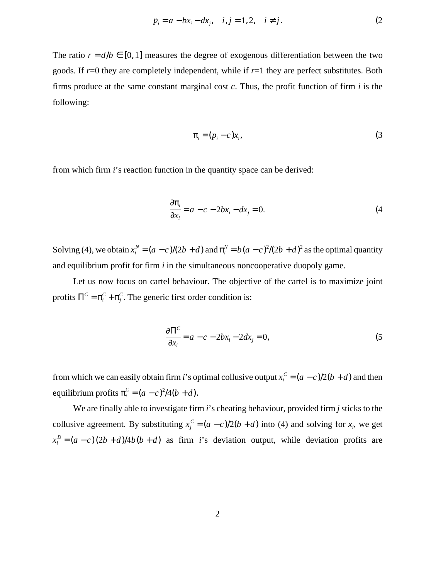$$
p_i = a - bx_i - dx_j, \quad i, j = 1, 2, \quad i \neq j.
$$
 (2)

The ratio  $r = d/b \in [0, 1]$  measures the degree of exogenous differentiation between the two goods. If *r*=0 they are completely independent, while if *r*=1 they are perfect substitutes. Both firms produce at the same constant marginal cost *c*. Thus, the profit function of firm *i* is the following:

$$
\pi_i = (p_i - c)x_i,\tag{3}
$$

from which firm *i*'s reaction function in the quantity space can be derived:

$$
\frac{\partial \pi_i}{\partial x_i} = a - c - 2bx_i - dx_j = 0.
$$
 (4)

Solving (4), we obtain  $x_i^N = (a - c)/(2b + d)$  and  $\pi_i^N = b(a - c)^2/(2b + d)^2$  as the optimal quantity and equilibrium profit for firm *i* in the simultaneous noncooperative duopoly game.

Let us now focus on cartel behaviour. The objective of the cartel is to maximize joint profits  $\Pi^C = \pi_i^C + \pi_j^C$ . The generic first order condition is:

$$
\frac{\partial \Pi^C}{\partial x_i} = a - c - 2bx_i - 2dx_j = 0,
$$
\n(5)

from which we can easily obtain firm *i*'s optimal collusive output  $x_i^C = (a - c)/2(b + d)$  and then equilibrium profits  $\pi_i^C = (a - c)^2/4(b + d)$ .

We are finally able to investigate firm *i*'s cheating behaviour, provided firm *j* sticks to the collusive agreement. By substituting  $x_j^C = (a - c)/2(b + d)$  into (4) and solving for  $x_i$ , we get  $x_i^D = (a - c)(2b + d)/4b(b + d)$  as firm *i*'s deviation output, while deviation profits are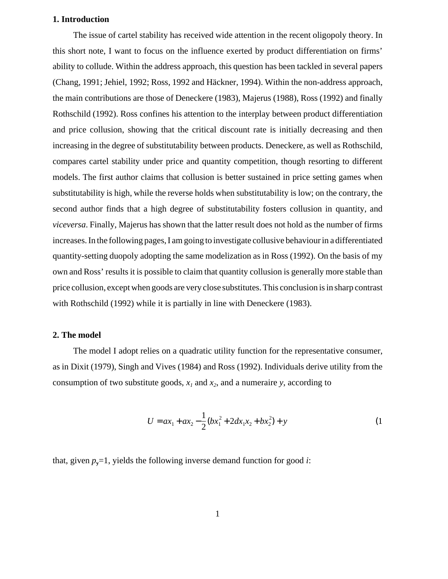## **1. Introduction**

The issue of cartel stability has received wide attention in the recent oligopoly theory. In this short note, I want to focus on the influence exerted by product differentiation on firms' ability to collude. Within the address approach, this question has been tackled in several papers (Chang, 1991; Jehiel, 1992; Ross, 1992 and Häckner, 1994). Within the non-address approach, the main contributions are those of Deneckere (1983), Majerus (1988), Ross (1992) and finally Rothschild (1992). Ross confines his attention to the interplay between product differentiation and price collusion, showing that the critical discount rate is initially decreasing and then increasing in the degree of substitutability between products. Deneckere, as well as Rothschild, compares cartel stability under price and quantity competition, though resorting to different models. The first author claims that collusion is better sustained in price setting games when substitutability is high, while the reverse holds when substitutability is low; on the contrary, the second author finds that a high degree of substitutability fosters collusion in quantity, and *viceversa*. Finally, Majerus has shown that the latter result does not hold as the number of firms increases. In the following pages, I am going to investigate collusive behaviour in a differentiated quantity-setting duopoly adopting the same modelization as in Ross (1992). On the basis of my own and Ross' results it is possible to claim that quantity collusion is generally more stable than price collusion, except when goods are very close substitutes. This conclusion is in sharp contrast with Rothschild (1992) while it is partially in line with Deneckere (1983).

## **2. The model**

The model I adopt relies on a quadratic utility function for the representative consumer, as in Dixit (1979), Singh and Vives (1984) and Ross (1992). Individuals derive utility from the consumption of two substitute goods,  $x_1$  and  $x_2$ , and a numeraire *y*, according to

$$
U = ax_1 + ax_2 - \frac{1}{2}(bx_1^2 + 2dx_1x_2 + bx_2^2) + y
$$
 (1)

that, given  $p_y=1$ , yields the following inverse demand function for good *i*: